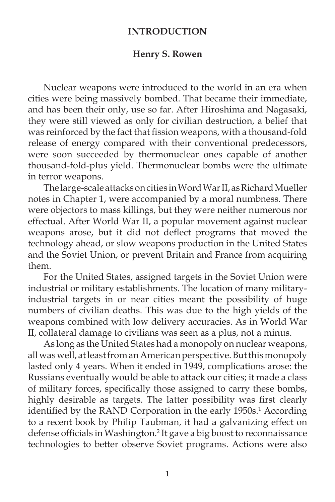## **INTRODUCTION**

## **Henry S. Rowen**

 Nuclear weapons were introduced to the world in an era when cities were being massively bombed. That became their immediate, and has been their only, use so far. After Hiroshima and Nagasaki, they were still viewed as only for civilian destruction, a belief that was reinforced by the fact that fission weapons, with a thousand-fold release of energy compared with their conventional predecessors, were soon succeeded by thermonuclear ones capable of another thousand-fold-plus yield. Thermonuclear bombs were the ultimate in terror weapons.

 The large-scale attacks on cities in Word War II, as Richard Mueller notes in Chapter 1, were accompanied by a moral numbness. There were objectors to mass killings, but they were neither numerous nor effectual. After World War II, a popular movement against nuclear weapons arose, but it did not deflect programs that moved the technology ahead, or slow weapons production in the United States and the Soviet Union, or prevent Britain and France from acquiring them.

 For the United States, assigned targets in the Soviet Union were industrial or military establishments. The location of many militaryindustrial targets in or near cities meant the possibility of huge numbers of civilian deaths. This was due to the high yields of the weapons combined with low delivery accuracies. As in World War II, collateral damage to civilians was seen as a plus, not a minus.

 As long as the United States had a monopoly on nuclear weapons, all was well, at least from an American perspective. But this monopoly lasted only 4 years. When it ended in 1949, complications arose: the Russians eventually would be able to attack our cities; it made a class of military forces, specifically those assigned to carry these bombs, highly desirable as targets. The latter possibility was first clearly identified by the RAND Corporation in the early 1950s.<sup>1</sup> According to a recent book by Philip Taubman, it had a galvanizing effect on defense officials in Washington.<sup>2</sup> It gave a big boost to reconnaissance technologies to better observe Soviet programs. Actions were also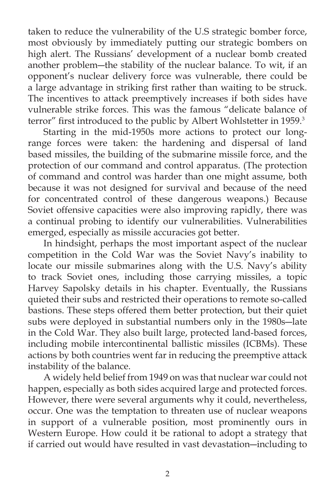taken to reduce the vulnerability of the U.S strategic bomber force, most obviously by immediately putting our strategic bombers on high alert. The Russians' development of a nuclear bomb created another problem―the stability of the nuclear balance. To wit, if an opponent's nuclear delivery force was vulnerable, there could be a large advantage in striking first rather than waiting to be struck. The incentives to attack preemptively increases if both sides have vulnerable strike forces. This was the famous "delicate balance of terror" first introduced to the public by Albert Wohlstetter in 1959.<sup>3</sup>

 Starting in the mid-1950s more actions to protect our longrange forces were taken: the hardening and dispersal of land based missiles, the building of the submarine missile force, and the protection of our command and control apparatus. (The protection of command and control was harder than one might assume, both because it was not designed for survival and because of the need for concentrated control of these dangerous weapons.) Because Soviet offensive capacities were also improving rapidly, there was a continual probing to identify our vulnerabilities. Vulnerabilities emerged, especially as missile accuracies got better.

 In hindsight, perhaps the most important aspect of the nuclear competition in the Cold War was the Soviet Navy's inability to locate our missile submarines along with the U.S. Navy's ability to track Soviet ones, including those carrying missiles, a topic Harvey Sapolsky details in his chapter. Eventually, the Russians quieted their subs and restricted their operations to remote so-called bastions. These steps offered them better protection, but their quiet subs were deployed in substantial numbers only in the 1980s―late in the Cold War. They also built large, protected land-based forces, including mobile intercontinental ballistic missiles (ICBMs). These actions by both countries went far in reducing the preemptive attack instability of the balance.

 A widely held belief from 1949 on was that nuclear war could not happen, especially as both sides acquired large and protected forces. However, there were several arguments why it could, nevertheless, occur. One was the temptation to threaten use of nuclear weapons in support of a vulnerable position, most prominently ours in Western Europe. How could it be rational to adopt a strategy that if carried out would have resulted in vast devastation―including to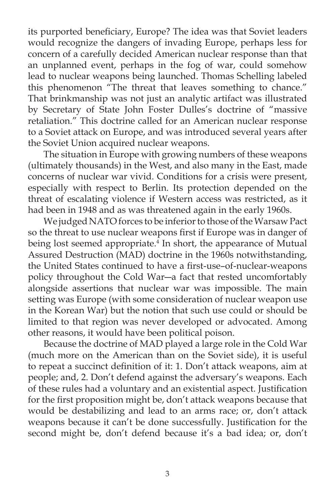its purported beneficiary, Europe? The idea was that Soviet leaders would recognize the dangers of invading Europe, perhaps less for concern of a carefully decided American nuclear response than that an unplanned event, perhaps in the fog of war, could somehow lead to nuclear weapons being launched. Thomas Schelling labeled this phenomenon "The threat that leaves something to chance." That brinkmanship was not just an analytic artifact was illustrated by Secretary of State John Foster Dulles's doctrine of "massive retaliation." This doctrine called for an American nuclear response to a Soviet attack on Europe, and was introduced several years after the Soviet Union acquired nuclear weapons.

 The situation in Europe with growing numbers of these weapons (ultimately thousands) in the West, and also many in the East, made concerns of nuclear war vivid. Conditions for a crisis were present, especially with respect to Berlin. Its protection depended on the threat of escalating violence if Western access was restricted, as it had been in 1948 and as was threatened again in the early 1960s.

 We judged NATO forces to be inferior to those of the Warsaw Pact so the threat to use nuclear weapons first if Europe was in danger of being lost seemed appropriate.<sup>4</sup> In short, the appearance of Mutual Assured Destruction (MAD) doctrine in the 1960s notwithstanding, the United States continued to have a first-use-of-nuclear-weapons policy throughout the Cold War―a fact that rested uncomfortably alongside assertions that nuclear war was impossible. The main setting was Europe (with some consideration of nuclear weapon use in the Korean War) but the notion that such use could or should be limited to that region was never developed or advocated. Among other reasons, it would have been political poison.

 Because the doctrine of MAD played a large role in the Cold War (much more on the American than on the Soviet side), it is useful to repeat a succinct definition of it: 1. Don't attack weapons, aim at people; and, 2. Don't defend against the adversary's weapons. Each of these rules had a voluntary and an existential aspect. Justification for the first proposition might be, don't attack weapons because that would be destabilizing and lead to an arms race; or, don't attack weapons because it can't be done successfully. Justification for the second might be, don't defend because it's a bad idea; or, don't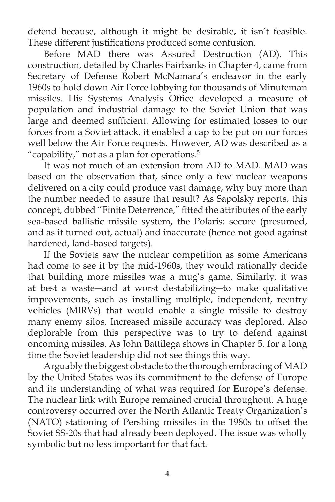defend because, although it might be desirable, it isn't feasible. These different justifications produced some confusion.

 Before MAD there was Assured Destruction (AD). This construction, detailed by Charles Fairbanks in Chapter 4, came from Secretary of Defense Robert McNamara's endeavor in the early 1960s to hold down Air Force lobbying for thousands of Minuteman missiles. His Systems Analysis Office developed a measure of population and industrial damage to the Soviet Union that was large and deemed sufficient. Allowing for estimated losses to our forces from a Soviet attack, it enabled a cap to be put on our forces well below the Air Force requests. However, AD was described as a "capability," not as a plan for operations. $5$ 

 It was not much of an extension from AD to MAD. MAD was based on the observation that, since only a few nuclear weapons delivered on a city could produce vast damage, why buy more than the number needed to assure that result? As Sapolsky reports, this concept, dubbed "Finite Deterrence," fitted the attributes of the early sea-based ballistic missile system, the Polaris: secure (presumed, and as it turned out, actual) and inaccurate (hence not good against hardened, land-based targets).

 If the Soviets saw the nuclear competition as some Americans had come to see it by the mid-1960s, they would rationally decide that building more missiles was a mug's game. Similarly, it was at best a waste―and at worst destabilizing―to make qualitative improvements, such as installing multiple, independent, reentry vehicles (MIRVs) that would enable a single missile to destroy many enemy silos. Increased missile accuracy was deplored. Also deplorable from this perspective was to try to defend against oncoming missiles. As John Battilega shows in Chapter 5, for a long time the Soviet leadership did not see things this way.

 Arguably the biggest obstacle to the thorough embracing of MAD by the United States was its commitment to the defense of Europe and its understanding of what was required for Europe's defense. The nuclear link with Europe remained crucial throughout. A huge controversy occurred over the North Atlantic Treaty Organization's (NATO) stationing of Pershing missiles in the 1980s to offset the Soviet SS-20s that had already been deployed. The issue was wholly symbolic but no less important for that fact.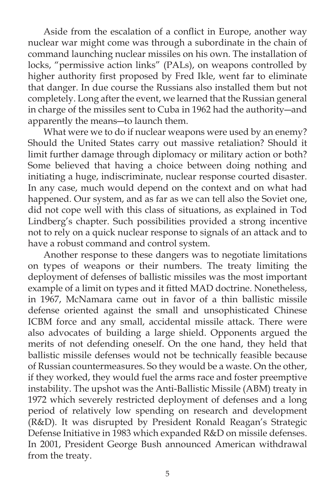Aside from the escalation of a conflict in Europe, another way nuclear war might come was through a subordinate in the chain of command launching nuclear missiles on his own. The installation of locks, "permissive action links" (PALs), on weapons controlled by higher authority first proposed by Fred Ikle, went far to eliminate that danger. In due course the Russians also installed them but not completely. Long after the event, we learned that the Russian general in charge of the missiles sent to Cuba in 1962 had the authority―and apparently the means―to launch them.

 What were we to do if nuclear weapons were used by an enemy? Should the United States carry out massive retaliation? Should it limit further damage through diplomacy or military action or both? Some believed that having a choice between doing nothing and initiating a huge, indiscriminate, nuclear response courted disaster. In any case, much would depend on the context and on what had happened. Our system, and as far as we can tell also the Soviet one, did not cope well with this class of situations, as explained in Tod Lindberg's chapter. Such possibilities provided a strong incentive not to rely on a quick nuclear response to signals of an attack and to have a robust command and control system.

 Another response to these dangers was to negotiate limitations on types of weapons or their numbers. The treaty limiting the deployment of defenses of ballistic missiles was the most important example of a limit on types and it fitted MAD doctrine. Nonetheless, in 1967, McNamara came out in favor of a thin ballistic missile defense oriented against the small and unsophisticated Chinese ICBM force and any small, accidental missile attack. There were also advocates of building a large shield. Opponents argued the merits of not defending oneself. On the one hand, they held that ballistic missile defenses would not be technically feasible because of Russian countermeasures. So they would be a waste. On the other, if they worked, they would fuel the arms race and foster preemptive instability. The upshot was the Anti-Ballistic Missile (ABM) treaty in 1972 which severely restricted deployment of defenses and a long period of relatively low spending on research and development (R&D). It was disrupted by President Ronald Reagan's Strategic Defense Initiative in 1983 which expanded R&D on missile defenses. In 2001, President George Bush announced American withdrawal from the treaty.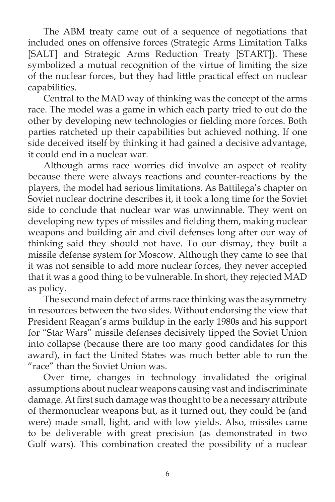The ABM treaty came out of a sequence of negotiations that included ones on offensive forces (Strategic Arms Limitation Talks [SALT] and Strategic Arms Reduction Treaty [START]). These symbolized a mutual recognition of the virtue of limiting the size of the nuclear forces, but they had little practical effect on nuclear capabilities.

 Central to the MAD way of thinking was the concept of the arms race. The model was a game in which each party tried to out do the other by developing new technologies or fielding more forces. Both parties ratcheted up their capabilities but achieved nothing. If one side deceived itself by thinking it had gained a decisive advantage, it could end in a nuclear war.

 Although arms race worries did involve an aspect of reality because there were always reactions and counter-reactions by the players, the model had serious limitations. As Battilega's chapter on Soviet nuclear doctrine describes it, it took a long time for the Soviet side to conclude that nuclear war was unwinnable. They went on developing new types of missiles and fielding them, making nuclear weapons and building air and civil defenses long after our way of thinking said they should not have. To our dismay, they built a missile defense system for Moscow. Although they came to see that it was not sensible to add more nuclear forces, they never accepted that it was a good thing to be vulnerable. In short, they rejected MAD as policy.

 The second main defect of arms race thinking was the asymmetry in resources between the two sides. Without endorsing the view that President Reagan's arms buildup in the early 1980s and his support for "Star Wars" missile defenses decisively tipped the Soviet Union into collapse (because there are too many good candidates for this award), in fact the United States was much better able to run the "race" than the Soviet Union was.

 Over time, changes in technology invalidated the original assumptions about nuclear weapons causing vast and indiscriminate damage. At first such damage was thought to be a necessary attribute of thermonuclear weapons but, as it turned out, they could be (and were) made small, light, and with low yields. Also, missiles came to be deliverable with great precision (as demonstrated in two Gulf wars). This combination created the possibility of a nuclear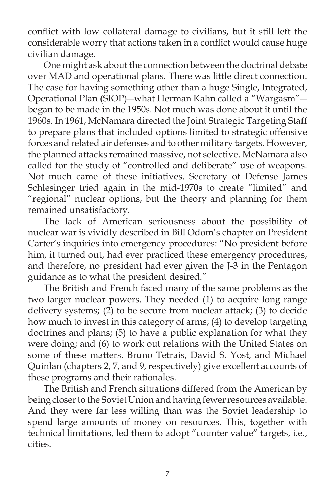conflict with low collateral damage to civilians, but it still left the considerable worry that actions taken in a conflict would cause huge civilian damage.

 One might ask about the connection between the doctrinal debate over MAD and operational plans. There was little direct connection. The case for having something other than a huge Single, Integrated, Operational Plan (SIOP)―what Herman Kahn called a "Wargasm"― began to be made in the 1950s. Not much was done about it until the 1960s. In 1961, McNamara directed the Joint Strategic Targeting Staff to prepare plans that included options limited to strategic offensive forces and related air defenses and to other military targets. However, the planned attacks remained massive, not selective. McNamara also called for the study of "controlled and deliberate" use of weapons. Not much came of these initiatives. Secretary of Defense James Schlesinger tried again in the mid-1970s to create "limited" and "regional" nuclear options, but the theory and planning for them remained unsatisfactory.

 The lack of American seriousness about the possibility of nuclear war is vividly described in Bill Odom's chapter on President Carter's inquiries into emergency procedures: "No president before him, it turned out, had ever practiced these emergency procedures, and therefore, no president had ever given the J-3 in the Pentagon guidance as to what the president desired."

 The British and French faced many of the same problems as the two larger nuclear powers. They needed (1) to acquire long range delivery systems; (2) to be secure from nuclear attack; (3) to decide how much to invest in this category of arms; (4) to develop targeting doctrines and plans; (5) to have a public explanation for what they were doing; and (6) to work out relations with the United States on some of these matters. Bruno Tetrais, David S. Yost, and Michael Quinlan (chapters 2, 7, and 9, respectively) give excellent accounts of these programs and their rationales.

 The British and French situations differed from the American by being closer to the Soviet Union and having fewer resources available. And they were far less willing than was the Soviet leadership to spend large amounts of money on resources. This, together with technical limitations, led them to adopt "counter value" targets, i.e., cities.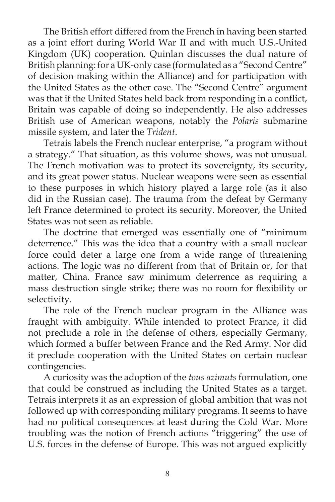The British effort differed from the French in having been started as a joint effort during World War II and with much U.S.-United Kingdom (UK) cooperation. Quinlan discusses the dual nature of British planning: for a UK-only case (formulated as a "Second Centre" of decision making within the Alliance) and for participation with the United States as the other case. The "Second Centre" argument was that if the United States held back from responding in a conflict, Britain was capable of doing so independently. He also addresses British use of American weapons, notably the *Polaris* submarine missile system, and later the *Trident*.

 Tetrais labels the French nuclear enterprise, "a program without a strategy." That situation, as this volume shows, was not unusual. The French motivation was to protect its sovereignty, its security, and its great power status. Nuclear weapons were seen as essential to these purposes in which history played a large role (as it also did in the Russian case). The trauma from the defeat by Germany left France determined to protect its security. Moreover, the United States was not seen as reliable.

 The doctrine that emerged was essentially one of "minimum deterrence." This was the idea that a country with a small nuclear force could deter a large one from a wide range of threatening actions. The logic was no different from that of Britain or, for that matter, China. France saw minimum deterrence as requiring a mass destruction single strike; there was no room for flexibility or selectivity.

 The role of the French nuclear program in the Alliance was fraught with ambiguity. While intended to protect France, it did not preclude a role in the defense of others, especially Germany, which formed a buffer between France and the Red Army. Nor did it preclude cooperation with the United States on certain nuclear contingencies.

 A curiosity was the adoption of the *tous azimuts* formulation, one that could be construed as including the United States as a target. Tetrais interprets it as an expression of global ambition that was not followed up with corresponding military programs. It seems to have had no political consequences at least during the Cold War. More troubling was the notion of French actions "triggering" the use of U.S. forces in the defense of Europe. This was not argued explicitly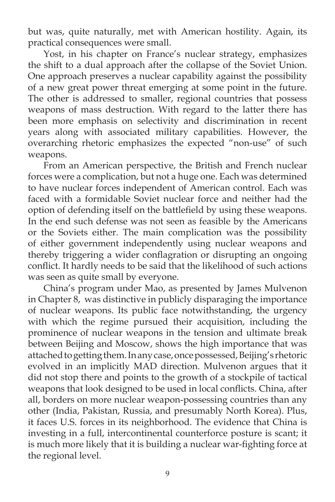but was, quite naturally, met with American hostility. Again, its practical consequences were small.

 Yost, in his chapter on France's nuclear strategy, emphasizes the shift to a dual approach after the collapse of the Soviet Union. One approach preserves a nuclear capability against the possibility of a new great power threat emerging at some point in the future. The other is addressed to smaller, regional countries that possess weapons of mass destruction. With regard to the latter there has been more emphasis on selectivity and discrimination in recent years along with associated military capabilities. However, the overarching rhetoric emphasizes the expected "non-use" of such weapons.

 From an American perspective, the British and French nuclear forces were a complication, but not a huge one. Each was determined to have nuclear forces independent of American control. Each was faced with a formidable Soviet nuclear force and neither had the option of defending itself on the battlefield by using these weapons. In the end such defense was not seen as feasible by the Americans or the Soviets either. The main complication was the possibility of either government independently using nuclear weapons and thereby triggering a wider conflagration or disrupting an ongoing conflict. It hardly needs to be said that the likelihood of such actions was seen as quite small by everyone.

 China's program under Mao, as presented by James Mulvenon in Chapter 8, was distinctive in publicly disparaging the importance of nuclear weapons. Its public face notwithstanding, the urgency with which the regime pursued their acquisition, including the prominence of nuclear weapons in the tension and ultimate break between Beijing and Moscow, shows the high importance that was attached to getting them. In any case, once possessed, Beijing's rhetoric evolved in an implicitly MAD direction. Mulvenon argues that it did not stop there and points to the growth of a stockpile of tactical weapons that look designed to be used in local conflicts. China, after all, borders on more nuclear weapon-possessing countries than any other (India, Pakistan, Russia, and presumably North Korea). Plus, it faces U.S. forces in its neighborhood. The evidence that China is investing in a full, intercontinental counterforce posture is scant; it is much more likely that it is building a nuclear war-fighting force at the regional level.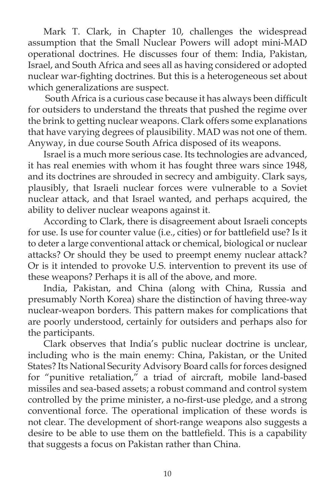Mark T. Clark, in Chapter 10, challenges the widespread assumption that the Small Nuclear Powers will adopt mini-MAD operational doctrines. He discusses four of them: India, Pakistan, Israel, and South Africa and sees all as having considered or adopted nuclear war-fighting doctrines. But this is a heterogeneous set about which generalizations are suspect.

South Africa is a curious case because it has always been difficult for outsiders to understand the threats that pushed the regime over the brink to getting nuclear weapons. Clark offers some explanations that have varying degrees of plausibility. MAD was not one of them. Anyway, in due course South Africa disposed of its weapons.

 Israel is a much more serious case. Its technologies are advanced, it has real enemies with whom it has fought three wars since 1948, and its doctrines are shrouded in secrecy and ambiguity. Clark says, plausibly, that Israeli nuclear forces were vulnerable to a Soviet nuclear attack, and that Israel wanted, and perhaps acquired, the ability to deliver nuclear weapons against it.

 According to Clark, there is disagreement about Israeli concepts for use. Is use for counter value (i.e., cities) or for battlefield use? Is it to deter a large conventional attack or chemical, biological or nuclear attacks? Or should they be used to preempt enemy nuclear attack? Or is it intended to provoke U.S. intervention to prevent its use of these weapons? Perhaps it is all of the above, and more.

 India, Pakistan, and China (along with China, Russia and presumably North Korea) share the distinction of having three-way nuclear-weapon borders. This pattern makes for complications that are poorly understood, certainly for outsiders and perhaps also for the participants.

 Clark observes that India's public nuclear doctrine is unclear, including who is the main enemy: China, Pakistan, or the United States? Its National Security Advisory Board calls for forces designed for "punitive retaliation," a triad of aircraft, mobile land-based missiles and sea-based assets; a robust command and control system controlled by the prime minister, a no-first-use pledge, and a strong conventional force. The operational implication of these words is not clear. The development of short-range weapons also suggests a desire to be able to use them on the battlefield. This is a capability that suggests a focus on Pakistan rather than China.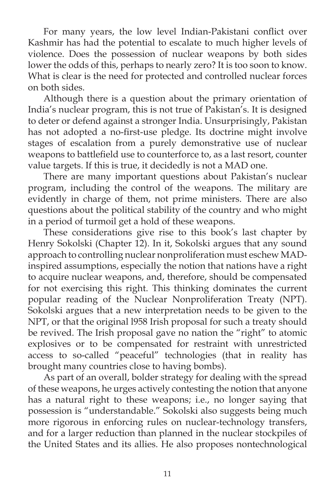For many years, the low level Indian-Pakistani conflict over Kashmir has had the potential to escalate to much higher levels of violence. Does the possession of nuclear weapons by both sides lower the odds of this, perhaps to nearly zero? It is too soon to know. What is clear is the need for protected and controlled nuclear forces on both sides.

 Although there is a question about the primary orientation of India's nuclear program, this is not true of Pakistan's. It is designed to deter or defend against a stronger India. Unsurprisingly, Pakistan has not adopted a no-first-use pledge. Its doctrine might involve stages of escalation from a purely demonstrative use of nuclear weapons to battlefield use to counterforce to, as a last resort, counter value targets. If this is true, it decidedly is not a MAD one.

 There are many important questions about Pakistan's nuclear program, including the control of the weapons. The military are evidently in charge of them, not prime ministers. There are also questions about the political stability of the country and who might in a period of turmoil get a hold of these weapons.

 These considerations give rise to this book's last chapter by Henry Sokolski (Chapter 12). In it, Sokolski argues that any sound approach to controlling nuclear nonproliferation must eschew MADinspired assumptions, especially the notion that nations have a right to acquire nuclear weapons, and, therefore, should be compensated for not exercising this right. This thinking dominates the current popular reading of the Nuclear Nonproliferation Treaty (NPT). Sokolski argues that a new interpretation needs to be given to the NPT, or that the original l958 Irish proposal for such a treaty should be revived. The Irish proposal gave no nation the "right" to atomic explosives or to be compensated for restraint with unrestricted access to so-called "peaceful" technologies (that in reality has brought many countries close to having bombs).

 As part of an overall, bolder strategy for dealing with the spread of these weapons, he urges actively contesting the notion that anyone has a natural right to these weapons; i.e., no longer saying that possession is "understandable." Sokolski also suggests being much more rigorous in enforcing rules on nuclear-technology transfers, and for a larger reduction than planned in the nuclear stockpiles of the United States and its allies. He also proposes nontechnological